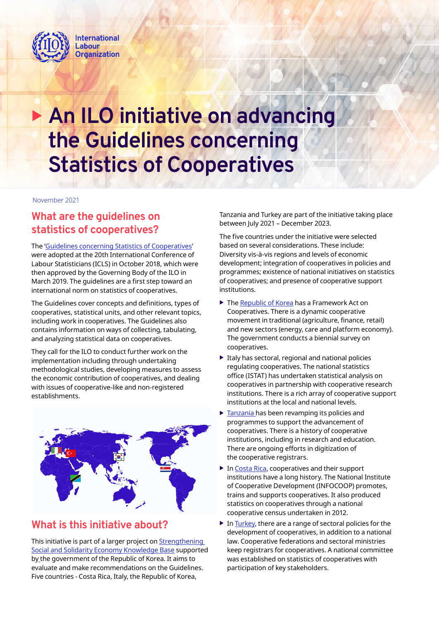

# **An ILO initiative on advancing the Guidelines concerning Statistics of Cooperatives**

November 2021

## **What are the guidelines on statistics of cooperatives?**

The 'Guidelines concerning Statistics of Cooperatives' were adopted at the 20th International Conference of Labour Statisticians (ICLS) in October 2018, which were then approved by the Governing Body of the ILO in March 2019. The guidelines are a first step toward an international norm on statistics of cooperatives.

The Guidelines cover concepts and definitions, types of cooperatives, statistical units, and other relevant topics, including work in cooperatives. The Guidelines also contains information on ways of collecting, tabulating, and analyzing statistical data on cooperatives.

They call for the ILO to conduct further work on the implementation including through undertaking methodological studies, developing measures to assess the economic contribution of cooperatives, and dealing with issues of cooperative-like and non-registered establishments.



## **What is this initiative about?**

This initiative is part of a larger project on Strengthening Social and Solidarity Economy Knowledge Base supported by the government of the Republic of Korea. It aims to evaluate and make recommendations on the Guidelines. Five countries - Costa Rica, Italy, the Republic of Korea,

Tanzania and Turkey are part of the initiative taking place between July 2021 – December 2023.

The five countries under the initiative were selected based on several considerations. These include: Diversity vis-à-vis regions and levels of economic development; integration of cooperatives in policies and programmes; existence of national initiatives on statistics of cooperatives; and presence of cooperative support institutions.

- $\blacktriangleright$  The Republic of Korea has a Framework Act on Cooperatives. There is a dynamic cooperative movement in traditional (agriculture, finance, retail) and new sectors (energy, care and platform economy). The government conducts a biennial survey on cooperatives.
- $\blacktriangleright$  Italy has sectoral, regional and national policies regulating cooperatives. The national statistics office (ISTAT) has undertaken statistical analysis on cooperatives in partnership with cooperative research institutions. There is a rich array of cooperative support institutions at the local and national levels.
- Tanzania has been revamping its policies and programmes to support the advancement of cooperatives. There is a history of cooperative institutions, including in research and education. There are ongoing efforts in digitization of the cooperative registrars.
- $\triangleright$  In Costa Rica, cooperatives and their support institutions have a long history. The National Institute of Cooperative Development (INFOCOOP) promotes, trains and supports cooperatives. It also produced statistics on cooperatives through a national cooperative census undertaken in 2012.
- $\triangleright$  In Turkey, there are a range of sectoral policies for the development of cooperatives, in addition to a national law. Cooperative federations and sectoral ministries keep registrars for cooperatives. A national committee was established on statistics of cooperatives with participation of key stakeholders.